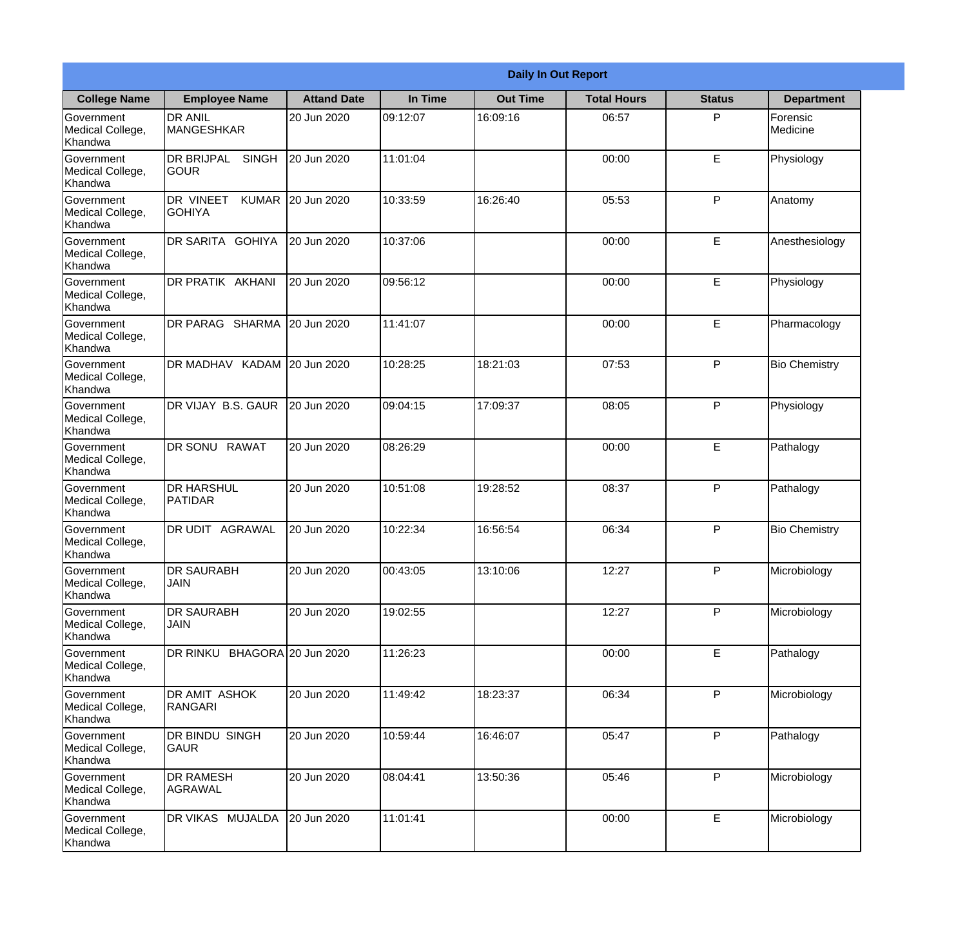|                                                  |                                            |                    |          | <b>Daily In Out Report</b> |                    |               |                      |
|--------------------------------------------------|--------------------------------------------|--------------------|----------|----------------------------|--------------------|---------------|----------------------|
| <b>College Name</b>                              | <b>Employee Name</b>                       | <b>Attand Date</b> | In Time  | <b>Out Time</b>            | <b>Total Hours</b> | <b>Status</b> | <b>Department</b>    |
| Government<br>Medical College,<br>Khandwa        | <b>DR ANIL</b><br><b>MANGESHKAR</b>        | 20 Jun 2020        | 09:12:07 | 16:09:16                   | 06:57              | P             | Forensic<br>Medicine |
| Government<br>Medical College,<br>Khandwa        | <b>DR BRIJPAL</b><br><b>SINGH</b><br> GOUR | 20 Jun 2020        | 11:01:04 |                            | 00:00              | E             | Physiology           |
| Government<br>Medical College,<br>Khandwa        | DR VINEET<br><b>KUMAR</b><br>IGOHIYA       | 20 Jun 2020        | 10:33:59 | 16:26:40                   | 05:53              | P             | Anatomy              |
| Government<br>Medical College,<br>Khandwa        | DR SARITA GOHIYA                           | 20 Jun 2020        | 10:37:06 |                            | 00:00              | $\mathsf E$   | Anesthesiology       |
| Government<br>Medical College,<br>Khandwa        | DR PRATIK AKHANI                           | 20 Jun 2020        | 09:56:12 |                            | 00:00              | E             | Physiology           |
| Government<br>Medical College,<br>Khandwa        | DR PARAG SHARMA                            | 20 Jun 2020        | 11:41:07 |                            | 00:00              | E             | Pharmacology         |
| Government<br>Medical College,<br>Khandwa        | DR MADHAV KADAM 20 Jun 2020                |                    | 10:28:25 | 18:21:03                   | 07:53              | P             | <b>Bio Chemistry</b> |
| Government<br>Medical College,<br>Khandwa        | DR VIJAY B.S. GAUR                         | 20 Jun 2020        | 09:04:15 | 17:09:37                   | 08:05              | P             | Physiology           |
| Government<br>Medical College,<br>Khandwa        | DR SONU RAWAT                              | 20 Jun 2020        | 08:26:29 |                            | 00:00              | E             | Pathalogy            |
| Government<br>Medical College,<br>Khandwa        | <b>DR HARSHUL</b><br>PATIDAR               | 20 Jun 2020        | 10:51:08 | 19:28:52                   | 08:37              | P             | Pathalogy            |
| Government<br>Medical College,<br>Khandwa        | DR UDIT<br><b>AGRAWAL</b>                  | 20 Jun 2020        | 10:22:34 | 16:56:54                   | 06:34              | P             | <b>Bio Chemistry</b> |
| Government<br>Medical College,<br>Khandwa        | <b>DR SAURABH</b><br><b>JAIN</b>           | 20 Jun 2020        | 00:43:05 | 13:10:06                   | 12:27              | P             | Microbiology         |
| Government<br>Medical College,<br>Khandwa        | <b>DR SAURABH</b><br><b>JAIN</b>           | 20 Jun 2020        | 19:02:55 |                            | 12:27              | P             | Microbiology         |
| Government<br>Medical College,<br>Khandwa        | DR RINKU BHAGORA 20 Jun 2020               |                    | 11:26:23 |                            | 00:00              | $\mathsf E$   | Pathalogy            |
| <b>Government</b><br>Medical College,<br>Khandwa | DR AMIT ASHOK<br><b>RANGARI</b>            | 20 Jun 2020        | 11:49:42 | 18:23:37                   | 06:34              | P             | Microbiology         |
| Government<br>Medical College,<br>Khandwa        | DR BINDU SINGH<br><b>GAUR</b>              | 20 Jun 2020        | 10:59:44 | 16:46:07                   | 05:47              | P             | Pathalogy            |
| Government<br>Medical College,<br>Khandwa        | <b>DR RAMESH</b><br>AGRAWAL                | 20 Jun 2020        | 08:04:41 | 13:50:36                   | 05:46              | P             | Microbiology         |
| Government<br>Medical College,<br>Khandwa        | DR VIKAS MUJALDA                           | 20 Jun 2020        | 11:01:41 |                            | 00:00              | $\mathsf E$   | Microbiology         |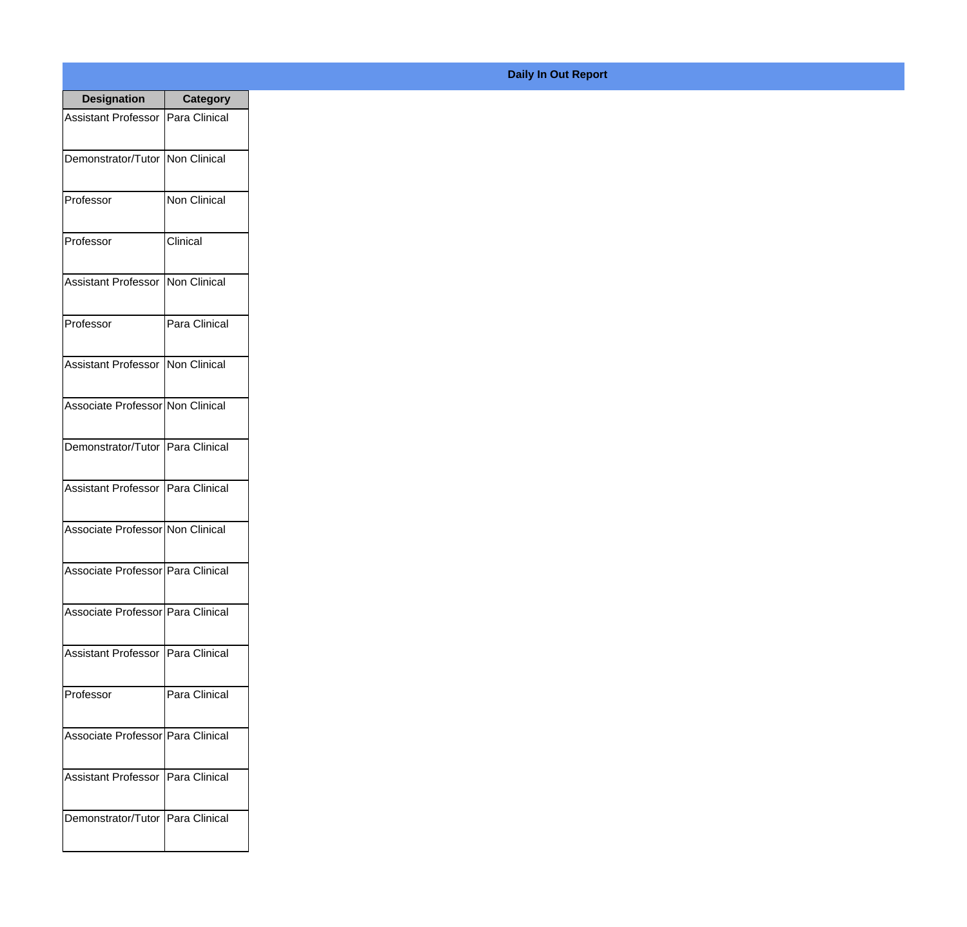| <b>Designation</b>                  | <b>Category</b>     |
|-------------------------------------|---------------------|
| <b>Assistant Professor</b>          | Para Clinical       |
| Demonstrator/Tutor                  | <b>Non Clinical</b> |
| Professor                           | <b>Non Clinical</b> |
| Professor                           | Clinical            |
| <b>Assistant Professor</b>          | Non Clinical        |
| Professor                           | Para Clinical       |
| <b>Assistant Professor</b>          | Non Clinical        |
| Associate Professor Non Clinical    |                     |
| Demonstrator/Tutor   Para Clinical  |                     |
| <b>Assistant Professor</b>          | Para Clinical       |
| Associate Professor Non Clinical    |                     |
| Associate Professor   Para Clinical |                     |
| Associate Professor   Para Clinical |                     |
| <b>Assistant Professor</b>          | IPara Clinical      |
| Professor                           | Para Clinical       |
| Associate Professor   Para Clinical |                     |
| <b>Assistant Professor</b>          | Para Clinical       |
| Demonstrator/Tutor   Para Clinical  |                     |

## **Daily In Out Report**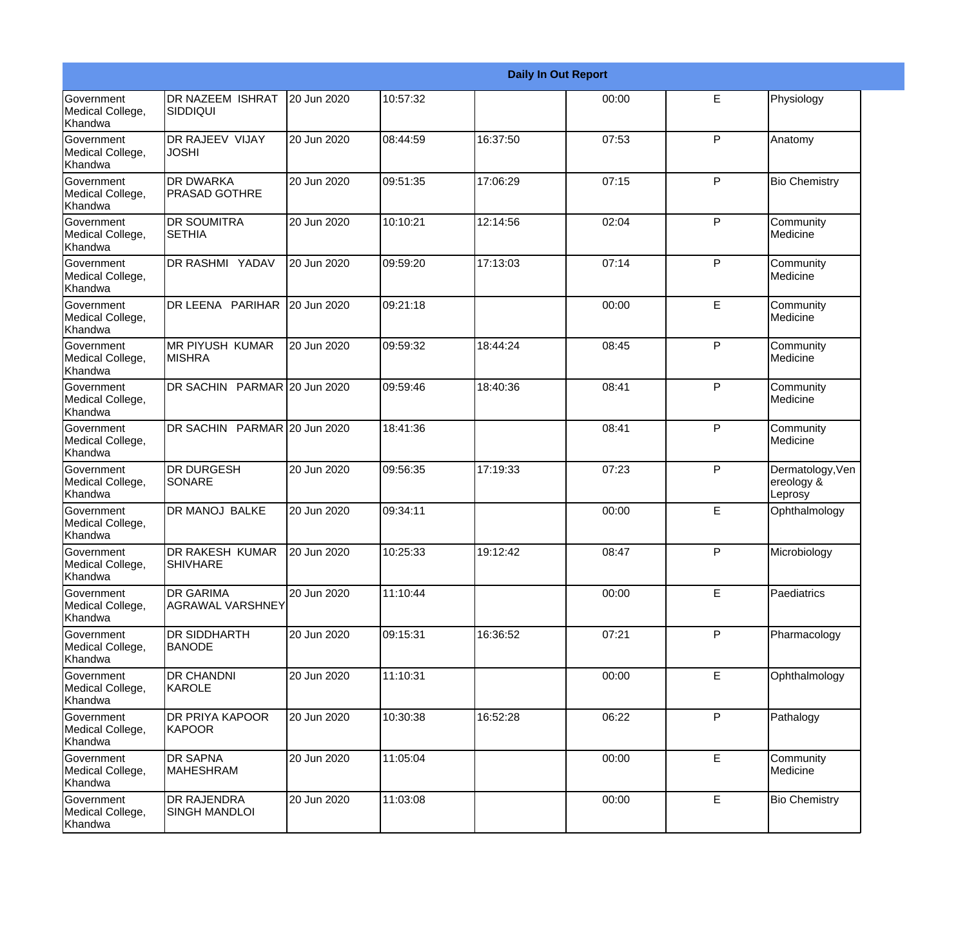|                                                         |                                             |             |          |          | <b>Daily In Out Report</b> |              |                                           |
|---------------------------------------------------------|---------------------------------------------|-------------|----------|----------|----------------------------|--------------|-------------------------------------------|
| Government<br>Medical College,<br>Khandwa               | DR NAZEEM ISHRAT<br><b>SIDDIQUI</b>         | 20 Jun 2020 | 10:57:32 |          | 00:00                      | E            | Physiology                                |
| <b>Government</b><br>Medical College,<br>Khandwa        | DR RAJEEV VIJAY<br><b>JOSHI</b>             | 20 Jun 2020 | 08:44:59 | 16:37:50 | 07:53                      | $\mathsf{P}$ | Anatomy                                   |
| <b>Government</b><br>Medical College,<br><b>Khandwa</b> | <b>DR DWARKA</b><br><b>PRASAD GOTHRE</b>    | 20 Jun 2020 | 09:51:35 | 17:06:29 | 07:15                      | P            | <b>Bio Chemistry</b>                      |
| <b>Government</b><br>Medical College,<br>Khandwa        | <b>DR SOUMITRA</b><br><b>SETHIA</b>         | 20 Jun 2020 | 10:10:21 | 12:14:56 | 02:04                      | P            | Community<br>Medicine                     |
| Government<br>Medical College,<br>Khandwa               | DR RASHMI YADAV                             | 20 Jun 2020 | 09:59:20 | 17:13:03 | 07:14                      | P            | Community<br>Medicine                     |
| <b>Government</b><br>Medical College,<br>Khandwa        | DR LEENA PARIHAR                            | 20 Jun 2020 | 09:21:18 |          | 00:00                      | E            | Community<br>Medicine                     |
| <b>Government</b><br>Medical College,<br><b>Khandwa</b> | <b>MR PIYUSH KUMAR</b><br><b>MISHRA</b>     | 20 Jun 2020 | 09:59:32 | 18:44:24 | 08:45                      | P            | Community<br>Medicine                     |
| Government<br>Medical College,<br>Khandwa               | DR SACHIN PARMAR 20 Jun 2020                |             | 09:59:46 | 18:40:36 | 08:41                      | P            | Community<br>Medicine                     |
| Government<br>Medical College,<br>Khandwa               | DR SACHIN PARMAR 20 Jun 2020                |             | 18:41:36 |          | 08:41                      | $\mathsf{P}$ | Community<br>Medicine                     |
| <b>Government</b><br>Medical College,<br>Khandwa        | <b>DR DURGESH</b><br>SONARE                 | 20 Jun 2020 | 09:56:35 | 17:19:33 | 07:23                      | $\mathsf{P}$ | Dermatology, Ven<br>ereology &<br>Leprosy |
| <b>Government</b><br>Medical College,<br>Khandwa        | <b>DR MANOJ BALKE</b>                       | 20 Jun 2020 | 09:34:11 |          | 00:00                      | E            | Ophthalmology                             |
| Government<br>Medical College,<br>Khandwa               | DR RAKESH KUMAR<br>SHIVHARE                 | 20 Jun 2020 | 10:25:33 | 19:12:42 | 08:47                      | P            | Microbiology                              |
| <b>Government</b><br>Medical College,<br>Khandwa        | <b>DR GARIMA</b><br><b>AGRAWAL VARSHNEY</b> | 20 Jun 2020 | 11:10:44 |          | 00:00                      | E            | Paediatrics                               |
| Government<br>Medical College,<br>Khandwa               | <b>DR SIDDHARTH</b><br><b>BANODE</b>        | 20 Jun 2020 | 09:15:31 | 16:36:52 | 07:21                      | $\mathsf{P}$ | Pharmacology                              |
| Government<br>Medical College,<br>Khandwa               | <b>DR CHANDNI</b><br>KAROLE                 | 20 Jun 2020 | 11:10:31 |          | 00:00                      | E            | Ophthalmology                             |
| Government<br>Medical College,<br>Khandwa               | DR PRIYA KAPOOR<br><b>KAPOOR</b>            | 20 Jun 2020 | 10:30:38 | 16:52:28 | 06:22                      | P            | Pathalogy                                 |
| Government<br>Medical College,<br>Khandwa               | <b>DR SAPNA</b><br><b>MAHESHRAM</b>         | 20 Jun 2020 | 11:05:04 |          | 00:00                      | E            | Community<br>Medicine                     |
| Government<br>Medical College,<br>Khandwa               | <b>DR RAJENDRA</b><br><b>SINGH MANDLOI</b>  | 20 Jun 2020 | 11:03:08 |          | 00:00                      | E            | <b>Bio Chemistry</b>                      |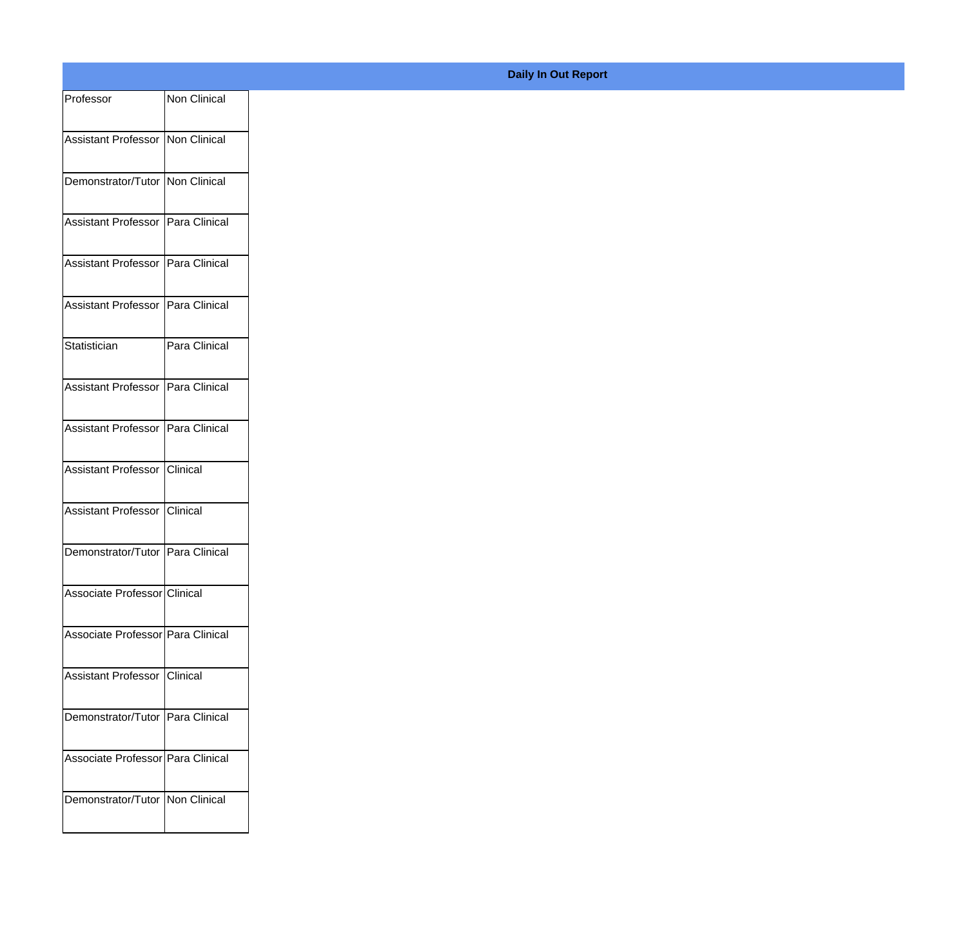| Professor                           | Non Clinical  |
|-------------------------------------|---------------|
| Assistant Professor Non Clinical    |               |
| Demonstrator/Tutor Non Clinical     |               |
| Assistant Professor Para Clinical   |               |
| Assistant Professor Para Clinical   |               |
| Assistant Professor Para Clinical   |               |
| Statistician                        | Para Clinical |
| Assistant Professor Para Clinical   |               |
| Assistant Professor   Para Clinical |               |
| Assistant Professor Clinical        |               |
| Assistant Professor Clinical        |               |
| Demonstrator/Tutor Para Clinical    |               |
| Associate Professor Clinical        |               |
| Associate Professor Para Clinical   |               |
| Assistant Professor Clinical        |               |
| Demonstrator/Tutor Para Clinical    |               |
| Associate Professor Para Clinical   |               |
| Demonstrator/Tutor Non Clinical     |               |
|                                     |               |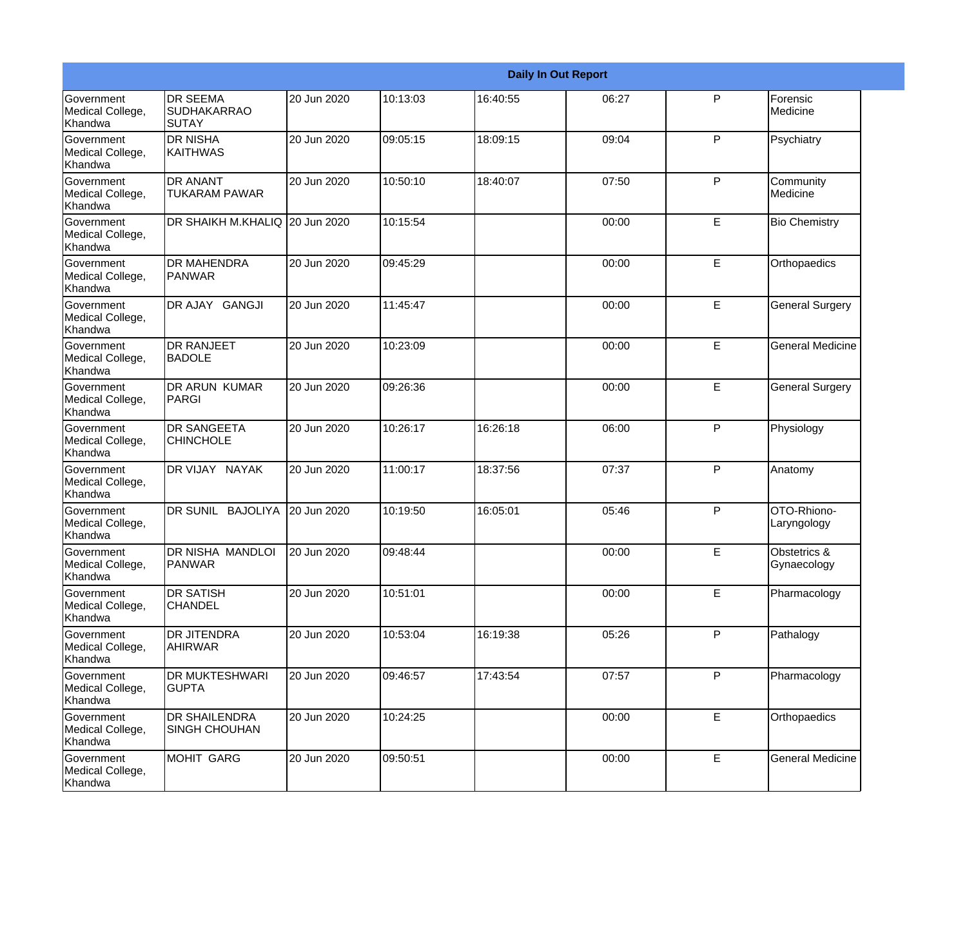|                                                  |                                                       |             |          | <b>Daily In Out Report</b> |       |   |                                        |
|--------------------------------------------------|-------------------------------------------------------|-------------|----------|----------------------------|-------|---|----------------------------------------|
| <b>Government</b><br>Medical College,<br>Khandwa | <b>DR SEEMA</b><br><b>SUDHAKARRAO</b><br><b>SUTAY</b> | 20 Jun 2020 | 10:13:03 | 16:40:55                   | 06:27 | P | Forensic<br>Medicine                   |
| Government<br>Medical College,<br>Khandwa        | <b>DR NISHA</b><br><b>KAITHWAS</b>                    | 20 Jun 2020 | 09:05:15 | 18:09:15                   | 09:04 | P | Psychiatry                             |
| Government<br>Medical College,<br>Khandwa        | <b>DR ANANT</b><br><b>TUKARAM PAWAR</b>               | 20 Jun 2020 | 10:50:10 | 18:40:07                   | 07:50 | P | Community<br>Medicine                  |
| Government<br>Medical College,<br>Khandwa        | DR SHAIKH M.KHALIQ 20 Jun 2020                        |             | 10:15:54 |                            | 00:00 | E | <b>Bio Chemistry</b>                   |
| Government<br>Medical College,<br>Khandwa        | <b>DR MAHENDRA</b><br><b>PANWAR</b>                   | 20 Jun 2020 | 09:45:29 |                            | 00:00 | E | Orthopaedics                           |
| Government<br>Medical College,<br>Khandwa        | DR AJAY GANGJI                                        | 20 Jun 2020 | 11:45:47 |                            | 00:00 | E | <b>General Surgery</b>                 |
| <b>Government</b><br>Medical College,<br>Khandwa | <b>DR RANJEET</b><br><b>BADOLE</b>                    | 20 Jun 2020 | 10:23:09 |                            | 00:00 | E | <b>General Medicine</b>                |
| Government<br>Medical College,<br>Khandwa        | <b>DR ARUN KUMAR</b><br>PARGI                         | 20 Jun 2020 | 09:26:36 |                            | 00:00 | E | <b>General Surgery</b>                 |
| Government<br>Medical College,<br>Khandwa        | <b>DR SANGEETA</b><br><b>CHINCHOLE</b>                | 20 Jun 2020 | 10:26:17 | 16:26:18                   | 06:00 | P | Physiology                             |
| Government<br>Medical College,<br>Khandwa        | DR VIJAY NAYAK                                        | 20 Jun 2020 | 11:00:17 | 18:37:56                   | 07:37 | P | Anatomy                                |
| <b>Government</b><br>Medical College,<br>Khandwa | DR SUNIL BAJOLIYA                                     | 20 Jun 2020 | 10:19:50 | 16:05:01                   | 05:46 | P | OTO-Rhiono-<br>Laryngology             |
| Government<br>Medical College,<br>Khandwa        | DR NISHA MANDLOI<br>PANWAR                            | 20 Jun 2020 | 09:48:44 |                            | 00:00 | E | <b>Obstetrics &amp;</b><br>Gynaecology |
| Government<br>Medical College,<br>Khandwa        | <b>DR SATISH</b><br><b>CHANDEL</b>                    | 20 Jun 2020 | 10:51:01 |                            | 00:00 | E | Pharmacology                           |
| Government<br>Medical College,<br>Khandwa        | <b>DR JITENDRA</b><br><b>AHIRWAR</b>                  | 20 Jun 2020 | 10:53:04 | 16:19:38                   | 05:26 | P | Pathalogy                              |
| Government<br>Medical College,<br>Khandwa        | <b>DR MUKTESHWARI</b><br><b>GUPTA</b>                 | 20 Jun 2020 | 09:46:57 | 17:43:54                   | 07:57 | P | Pharmacology                           |
| Government<br>Medical College,<br>Khandwa        | <b>DR SHAILENDRA</b><br>SINGH CHOUHAN                 | 20 Jun 2020 | 10:24:25 |                            | 00:00 | E | Orthopaedics                           |
| Government<br>Medical College,<br>Khandwa        | MOHIT GARG                                            | 20 Jun 2020 | 09:50:51 |                            | 00:00 | E | <b>General Medicine</b>                |